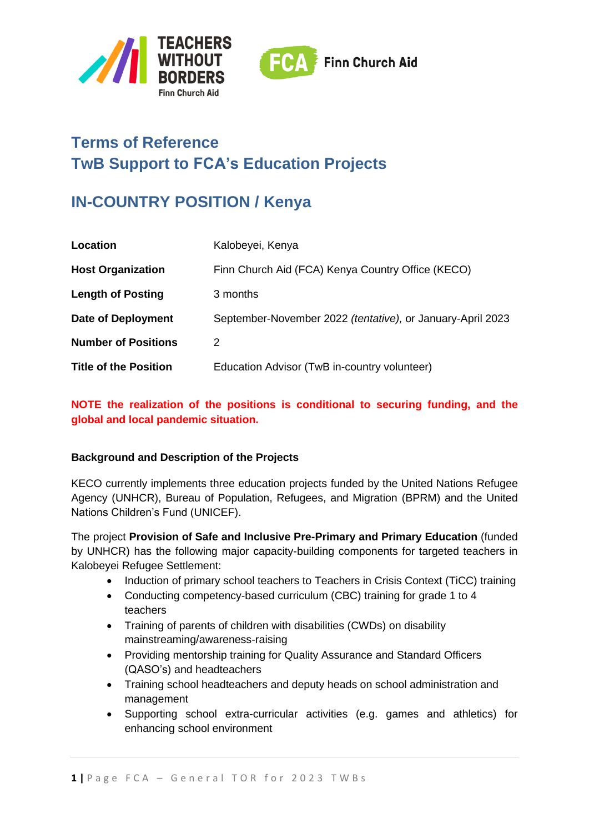



# **Terms of Reference TwB Support to FCA's Education Projects**

# **IN-COUNTRY POSITION / Kenya**

| Location                     | Kalobeyei, Kenya                                           |
|------------------------------|------------------------------------------------------------|
| <b>Host Organization</b>     | Finn Church Aid (FCA) Kenya Country Office (KECO)          |
| <b>Length of Posting</b>     | 3 months                                                   |
| Date of Deployment           | September-November 2022 (tentative), or January-April 2023 |
| <b>Number of Positions</b>   | 2                                                          |
| <b>Title of the Position</b> | Education Advisor (TwB in-country volunteer)               |

#### **NOTE the realization of the positions is conditional to securing funding, and the global and local pandemic situation.**

#### **Background and Description of the Projects**

KECO currently implements three education projects funded by the United Nations Refugee Agency (UNHCR), Bureau of Population, Refugees, and Migration (BPRM) and the United Nations Children's Fund (UNICEF).

The project **Provision of Safe and Inclusive Pre-Primary and Primary Education** (funded by UNHCR) has the following major capacity-building components for targeted teachers in Kalobeyei Refugee Settlement:

- Induction of primary school teachers to Teachers in Crisis Context (TiCC) training
- Conducting competency-based curriculum (CBC) training for grade 1 to 4 teachers
- Training of parents of children with disabilities (CWDs) on disability mainstreaming/awareness-raising
- Providing mentorship training for Quality Assurance and Standard Officers (QASO's) and headteachers
- Training school headteachers and deputy heads on school administration and management
- Supporting school extra-curricular activities (e.g. games and athletics) for enhancing school environment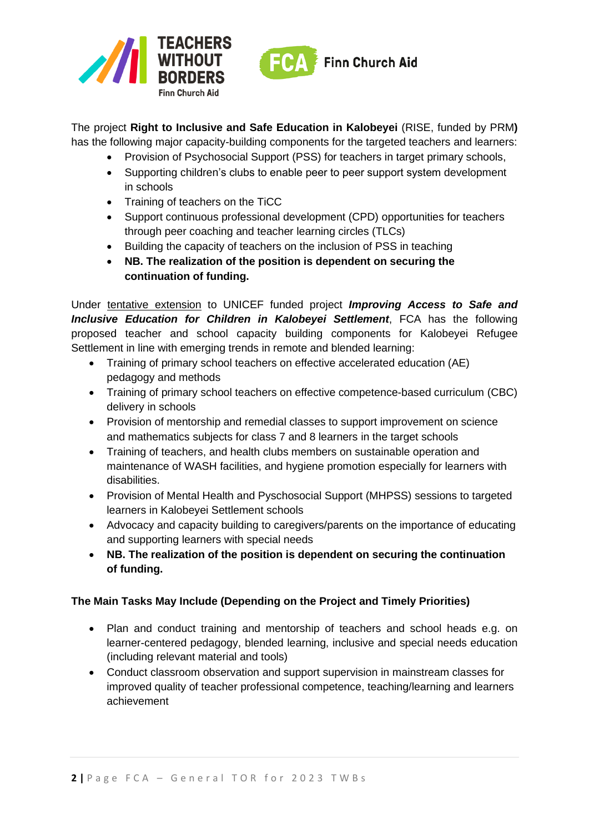



The project **Right to Inclusive and Safe Education in Kalobeyei** (RISE, funded by PRM**)**  has the following major capacity-building components for the targeted teachers and learners:

- Provision of Psychosocial Support (PSS) for teachers in target primary schools,
- Supporting children's clubs to enable peer to peer support system development in schools
- Training of teachers on the TiCC
- Support continuous professional development (CPD) opportunities for teachers through peer coaching and teacher learning circles (TLCs)
- Building the capacity of teachers on the inclusion of PSS in teaching
- **NB. The realization of the position is dependent on securing the continuation of funding.**

Under tentative extension to UNICEF funded project *Improving Access to Safe and Inclusive Education for Children in Kalobeyei Settlement*, FCA has the following proposed teacher and school capacity building components for Kalobeyei Refugee Settlement in line with emerging trends in remote and blended learning:

- Training of primary school teachers on effective accelerated education (AE) pedagogy and methods
- Training of primary school teachers on effective competence-based curriculum (CBC) delivery in schools
- Provision of mentorship and remedial classes to support improvement on science and mathematics subjects for class 7 and 8 learners in the target schools
- Training of teachers, and health clubs members on sustainable operation and maintenance of WASH facilities, and hygiene promotion especially for learners with disabilities.
- Provision of Mental Health and Pyschosocial Support (MHPSS) sessions to targeted learners in Kalobeyei Settlement schools
- Advocacy and capacity building to caregivers/parents on the importance of educating and supporting learners with special needs
- **NB. The realization of the position is dependent on securing the continuation of funding.**

## **The Main Tasks May Include (Depending on the Project and Timely Priorities)**

- Plan and conduct training and mentorship of teachers and school heads e.g. on learner-centered pedagogy, blended learning, inclusive and special needs education (including relevant material and tools)
- Conduct classroom observation and support supervision in mainstream classes for improved quality of teacher professional competence, teaching/learning and learners achievement